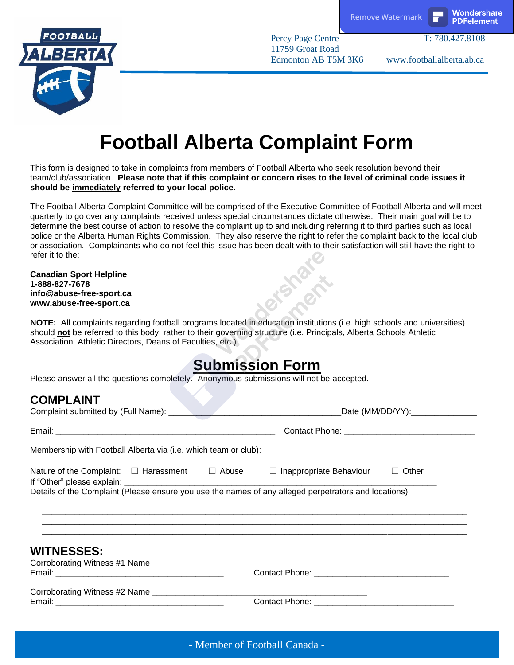

Percy Page Centre T: 780.427.8108



11759 Groat Road

Edmonton AB T5M 3K6 www.footballalberta.ab.ca

# **Football Alberta Complaint Form**

This form is designed to take in complaints from members of Football Alberta who seek resolution beyond their team/club/association. **Please note that if this complaint or concern rises to the level of criminal code issues it should be immediately referred to your local police**.

The Football Alberta Complaint Committee will be comprised of the Executive Committee of Football Alberta and will meet quarterly to go over any complaints received unless special circumstances dictate otherwise. Their main goal will be to determine the best course of action to resolve the complaint up to and including referring it to third parties such as local police or the Alberta Human Rights Commission. They also reserve the right to refer the complaint back to the local club or association. Complainants who do not feel this issue has been dealt with to their satisfaction will still have the right to refer it to the:

#### **Canadian Sport Helpline 1-888-827-7678 info@abuse-free-sport.ca www.abuse-free-sport.ca**

**NOTE:** All complaints regarding football programs located in education institutions (i.e. high schools and universities) should **not** be referred to this body, rather to their governing structure (i.e. Principals, Alberta Schools Athletic Association, Athletic Directors, Deans of Faculties, etc.)

## **Submission Form**

Please answer all the questions completely. Anonymous submissions will not be accepted.

### **COMPLAINT**

|                                                                                                                 |  | Date (MM/DD/YY):________________                                                 |  |
|-----------------------------------------------------------------------------------------------------------------|--|----------------------------------------------------------------------------------|--|
|                                                                                                                 |  |                                                                                  |  |
| Nature of the Complaint: $\square$ Harassment $\square$ Abuse $\square$ Inappropriate Behaviour $\square$ Other |  |                                                                                  |  |
|                                                                                                                 |  | ,我们就会在这里,我们的人们就会在这里,我们的人们就会在这里,我们的人们就会在这里,我们的人们就会在这里,我们的人们就会在这里,我们的人们就会在这里,我们的人们 |  |
| <b>WITNESSES:</b>                                                                                               |  |                                                                                  |  |
|                                                                                                                 |  |                                                                                  |  |
|                                                                                                                 |  |                                                                                  |  |
|                                                                                                                 |  |                                                                                  |  |
|                                                                                                                 |  |                                                                                  |  |